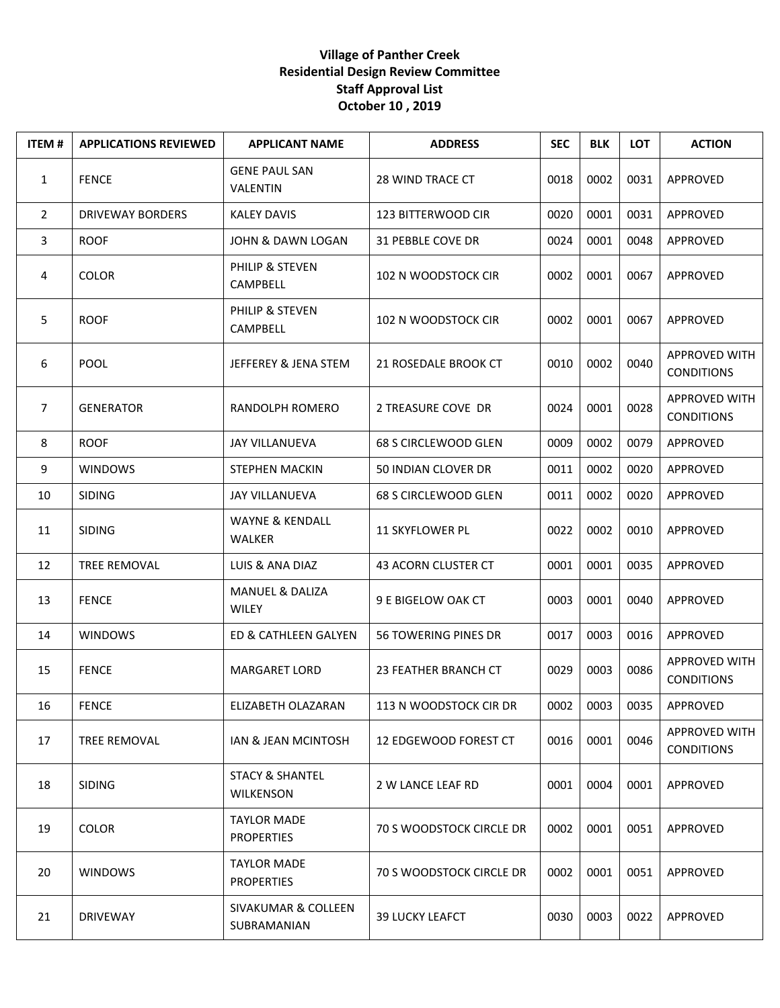## **Village of Panther Creek Residential Design Review Committee Staff Approval List October 10 , 2019**

| <b>ITEM#</b>   | <b>APPLICATIONS REVIEWED</b> | <b>APPLICANT NAME</b>                          | <b>ADDRESS</b>              | <b>SEC</b> | <b>BLK</b> | <b>LOT</b> | <b>ACTION</b>                      |
|----------------|------------------------------|------------------------------------------------|-----------------------------|------------|------------|------------|------------------------------------|
| $\mathbf{1}$   | <b>FENCE</b>                 | <b>GENE PAUL SAN</b><br><b>VALENTIN</b>        | 28 WIND TRACE CT            | 0018       | 0002       | 0031       | APPROVED                           |
| $\overline{2}$ | <b>DRIVEWAY BORDERS</b>      | <b>KALEY DAVIS</b>                             | 123 BITTERWOOD CIR          | 0020       | 0001       | 0031       | APPROVED                           |
| 3              | <b>ROOF</b>                  | JOHN & DAWN LOGAN                              | 31 PEBBLE COVE DR           | 0024       | 0001       | 0048       | APPROVED                           |
| 4              | <b>COLOR</b>                 | PHILIP & STEVEN<br>CAMPBELL                    | 102 N WOODSTOCK CIR         | 0002       | 0001       | 0067       | APPROVED                           |
| 5              | <b>ROOF</b>                  | PHILIP & STEVEN<br>CAMPBELL                    | 102 N WOODSTOCK CIR         | 0002       | 0001       | 0067       | APPROVED                           |
| 6              | <b>POOL</b>                  | JEFFEREY & JENA STEM                           | 21 ROSEDALE BROOK CT        | 0010       | 0002       | 0040       | APPROVED WITH<br><b>CONDITIONS</b> |
| $\overline{7}$ | <b>GENERATOR</b>             | RANDOLPH ROMERO                                | 2 TREASURE COVE DR          | 0024       | 0001       | 0028       | APPROVED WITH<br><b>CONDITIONS</b> |
| 8              | <b>ROOF</b>                  | <b>JAY VILLANUEVA</b>                          | 68 S CIRCLEWOOD GLEN        | 0009       | 0002       | 0079       | APPROVED                           |
| 9              | <b>WINDOWS</b>               | <b>STEPHEN MACKIN</b>                          | 50 INDIAN CLOVER DR         | 0011       | 0002       | 0020       | APPROVED                           |
| 10             | <b>SIDING</b>                | <b>JAY VILLANUEVA</b>                          | 68 S CIRCLEWOOD GLEN        | 0011       | 0002       | 0020       | APPROVED                           |
| 11             | <b>SIDING</b>                | <b>WAYNE &amp; KENDALL</b><br><b>WALKER</b>    | 11 SKYFLOWER PL             | 0022       | 0002       | 0010       | APPROVED                           |
| 12             | <b>TREE REMOVAL</b>          | LUIS & ANA DIAZ                                | 43 ACORN CLUSTER CT         | 0001       | 0001       | 0035       | APPROVED                           |
| 13             | <b>FENCE</b>                 | <b>MANUEL &amp; DALIZA</b><br><b>WILEY</b>     | 9 E BIGELOW OAK CT          | 0003       | 0001       | 0040       | APPROVED                           |
| 14             | <b>WINDOWS</b>               | ED & CATHLEEN GALYEN                           | <b>56 TOWERING PINES DR</b> | 0017       | 0003       | 0016       | APPROVED                           |
| 15             | <b>FENCE</b>                 | <b>MARGARET LORD</b>                           | 23 FEATHER BRANCH CT        | 0029       | 0003       | 0086       | APPROVED WITH<br><b>CONDITIONS</b> |
| 16             | <b>FENCE</b>                 | ELIZABETH OLAZARAN                             | 113 N WOODSTOCK CIR DR      | 0002       | 0003       | 0035       | APPROVED                           |
| 17             | <b>TREE REMOVAL</b>          | IAN & JEAN MCINTOSH                            | 12 EDGEWOOD FOREST CT       | 0016       | 0001       | 0046       | APPROVED WITH<br><b>CONDITIONS</b> |
| 18             | <b>SIDING</b>                | <b>STACY &amp; SHANTEL</b><br><b>WILKENSON</b> | 2 W LANCE LEAF RD           | 0001       | 0004       | 0001       | APPROVED                           |
| 19             | <b>COLOR</b>                 | <b>TAYLOR MADE</b><br><b>PROPERTIES</b>        | 70 S WOODSTOCK CIRCLE DR    | 0002       | 0001       | 0051       | APPROVED                           |
| 20             | <b>WINDOWS</b>               | <b>TAYLOR MADE</b><br><b>PROPERTIES</b>        | 70 S WOODSTOCK CIRCLE DR    | 0002       | 0001       | 0051       | APPROVED                           |
| 21             | <b>DRIVEWAY</b>              | <b>SIVAKUMAR &amp; COLLEEN</b><br>SUBRAMANIAN  | <b>39 LUCKY LEAFCT</b>      | 0030       | 0003       | 0022       | APPROVED                           |